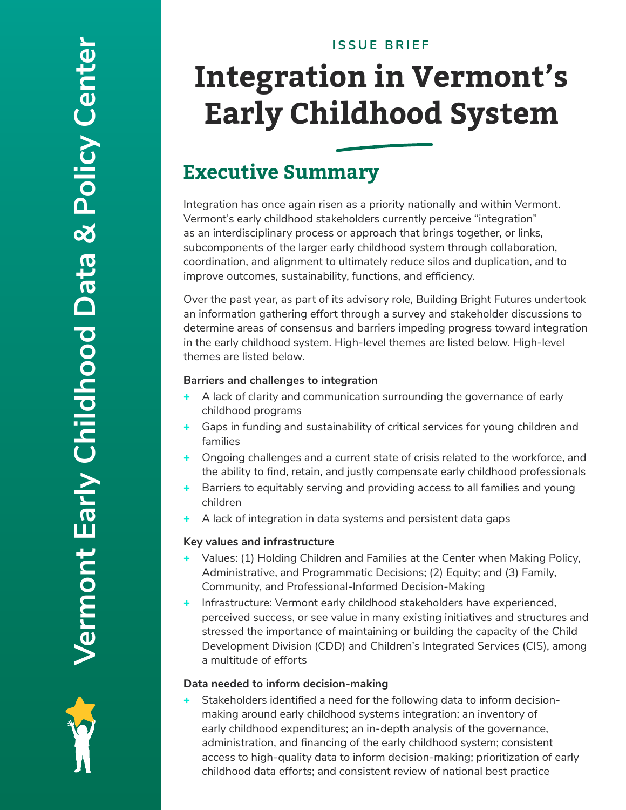#### **ISSUE BRIEF**

# **Integration in Vermont's Early Childhood System**

### **Executive Summary**

Integration has once again risen as a priority nationally and within Vermont. Vermont's early childhood stakeholders currently perceive "integration" as an interdisciplinary process or approach that brings together, or links, subcomponents of the larger early childhood system through collaboration, coordination, and alignment to ultimately reduce silos and duplication, and to improve outcomes, sustainability, functions, and efficiency.

Over the past year, as part of its advisory role, Building Bright Futures undertook an information gathering effort through a survey and stakeholder discussions to determine areas of consensus and barriers impeding progress toward integration in the early childhood system. High-level themes are listed below. High-level themes are listed below.

#### **Barriers and challenges to integration**

- + A lack of clarity and communication surrounding the governance of early childhood programs
- + Gaps in funding and sustainability of critical services for young children and families
- + Ongoing challenges and a current state of crisis related to the workforce, and the ability to find, retain, and justly compensate early childhood professionals
- + Barriers to equitably serving and providing access to all families and young children
- A lack of integration in data systems and persistent data gaps

#### **Key values and infrastructure**

- + Values: (1) Holding Children and Families at the Center when Making Policy, Administrative, and Programmatic Decisions; (2) Equity; and (3) Family, Community, and Professional-Informed Decision-Making
- Infrastructure: Vermont early childhood stakeholders have experienced, perceived success, or see value in many existing initiatives and structures and stressed the importance of maintaining or building the capacity of the Child Development Division (CDD) and Children's Integrated Services (CIS), among a multitude of efforts

#### **Data needed to inform decision-making**

Stakeholders identified a need for the following data to inform decisionmaking around early childhood systems integration: an inventory of early childhood expenditures; an in-depth analysis of the governance, administration, and financing of the early childhood system; consistent access to high-quality data to inform decision-making; prioritization of early childhood data efforts; and consistent review of national best practice

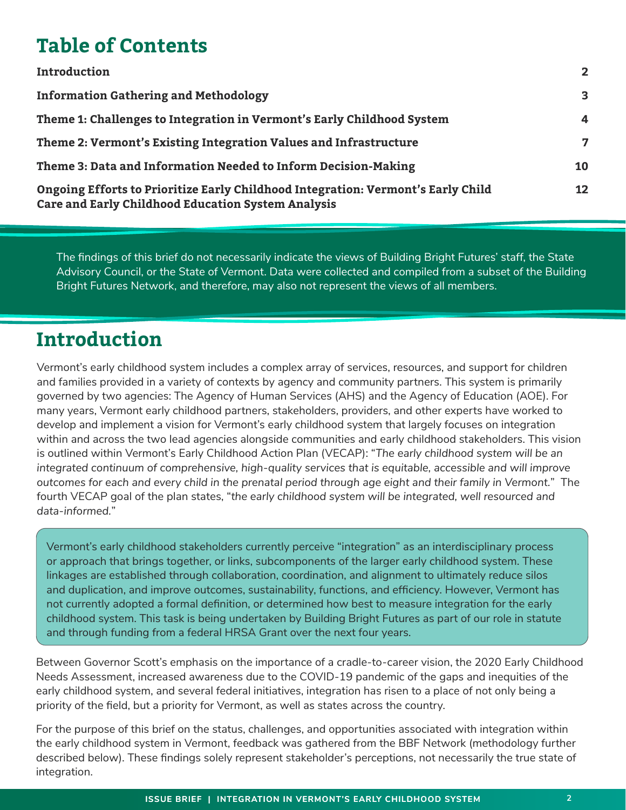### **Table of Contents**

| Introduction                                                                                                                                                                                                  | $\mathbf{2}$ |                                                                                                                                               |                 |
|---------------------------------------------------------------------------------------------------------------------------------------------------------------------------------------------------------------|--------------|-----------------------------------------------------------------------------------------------------------------------------------------------|-----------------|
| <b>Information Gathering and Methodology</b>                                                                                                                                                                  | 3            |                                                                                                                                               |                 |
| Theme 1: Challenges to Integration in Vermont's Early Childhood System<br>Theme 2: Vermont's Existing Integration Values and Infrastructure<br>Theme 3: Data and Information Needed to Inform Decision-Making | 4<br>7<br>10 |                                                                                                                                               |                 |
|                                                                                                                                                                                                               |              | Ongoing Efforts to Prioritize Early Childhood Integration: Vermont's Early Child<br><b>Care and Early Childhood Education System Analysis</b> | 12 <sub>2</sub> |

The findings of this brief do not necessarily indicate the views of Building Bright Futures' staff, the State Advisory Council, or the State of Vermont. Data were collected and compiled from a subset of the Building Bright Futures Network, and therefore, may also not represent the views of all members.

## **Introduction**

Vermont's early childhood system includes a complex array of services, resources, and support for children and families provided in a variety of contexts by agency and community partners. This system is primarily governed by two agencies: The Agency of Human Services (AHS) and the Agency of Education (AOE). For many years, Vermont early childhood partners, stakeholders, providers, and other experts have worked to develop and implement a vision for Vermont's early childhood system that largely focuses on integration within and across the two lead agencies alongside communities and early childhood stakeholders. This vision is outlined within Vermont's Early Childhood Action Plan (VECAP): "*The early childhood system will be an integrated continuum of comprehensive, high-quality services that is equitable, accessible and will improve outcomes for each and every child in the prenatal period through age eight and their family in Vermont.*" The fourth VECAP goal of the plan states, "*the early childhood system will be integrated, well resourced and data-informed.*"

Vermont's early childhood stakeholders currently perceive "integration" as an interdisciplinary process or approach that brings together, or links, subcomponents of the larger early childhood system. These linkages are established through collaboration, coordination, and alignment to ultimately reduce silos and duplication, and improve outcomes, sustainability, functions, and efficiency. However, Vermont has not currently adopted a formal definition, or determined how best to measure integration for the early childhood system. This task is being undertaken by Building Bright Futures as part of our role in statute and through funding from a federal HRSA Grant over the next four years.

Between Governor Scott's emphasis on the importance of a cradle-to-career vision, the 2020 Early Childhood Needs Assessment, increased awareness due to the COVID-19 pandemic of the gaps and inequities of the early childhood system, and several federal initiatives, integration has risen to a place of not only being a priority of the field, but a priority for Vermont, as well as states across the country.

For the purpose of this brief on the status, challenges, and opportunities associated with integration within the early childhood system in Vermont, feedback was gathered from the BBF Network (methodology further described below). These findings solely represent stakeholder's perceptions, not necessarily the true state of integration.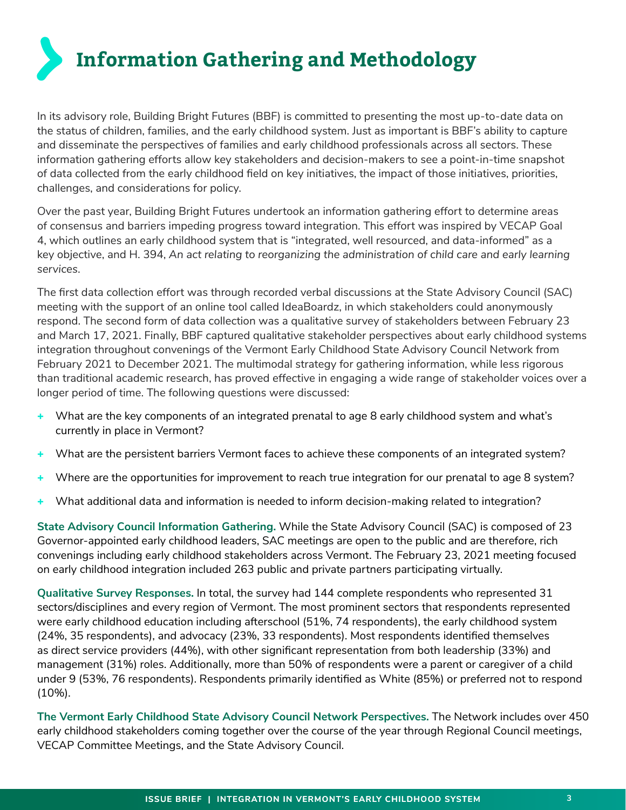**Information Gathering and Methodology**

In its advisory role, Building Bright Futures (BBF) is committed to presenting the most up-to-date data on the status of children, families, and the early childhood system. Just as important is BBF's ability to capture and disseminate the perspectives of families and early childhood professionals across all sectors. These information gathering efforts allow key stakeholders and decision-makers to see a point-in-time snapshot of data collected from the early childhood field on key initiatives, the impact of those initiatives, priorities, challenges, and considerations for policy.

Over the past year, Building Bright Futures undertook an information gathering effort to determine areas of consensus and barriers impeding progress toward integration. This effort was inspired by VECAP Goal 4, which outlines an early childhood system that is "integrated, well resourced, and data-informed" as a key objective, and H. 394, *An act relating to reorganizing the administration of child care and early learning services*.

The first data collection effort was through recorded verbal discussions at the State Advisory Council (SAC) meeting with the support of an online tool called IdeaBoardz, in which stakeholders could anonymously respond. The second form of data collection was a qualitative survey of stakeholders between February 23 and March 17, 2021. Finally, BBF captured qualitative stakeholder perspectives about early childhood systems integration throughout convenings of the Vermont Early Childhood State Advisory Council Network from February 2021 to December 2021. The multimodal strategy for gathering information, while less rigorous than traditional academic research, has proved effective in engaging a wide range of stakeholder voices over a longer period of time. The following questions were discussed:

- + What are the key components of an integrated prenatal to age 8 early childhood system and what's currently in place in Vermont?
- + What are the persistent barriers Vermont faces to achieve these components of an integrated system?
- + Where are the opportunities for improvement to reach true integration for our prenatal to age 8 system?
- What additional data and information is needed to inform decision-making related to integration?

**State Advisory Council Information Gathering.** While the State Advisory Council (SAC) is composed of 23 Governor-appointed early childhood leaders, SAC meetings are open to the public and are therefore, rich convenings including early childhood stakeholders across Vermont. The February 23, 2021 meeting focused on early childhood integration included 263 public and private partners participating virtually.

**Qualitative Survey Responses.** In total, the survey had 144 complete respondents who represented 31 sectors/disciplines and every region of Vermont. The most prominent sectors that respondents represented were early childhood education including afterschool (51%, 74 respondents), the early childhood system (24%, 35 respondents), and advocacy (23%, 33 respondents). Most respondents identified themselves as direct service providers (44%), with other significant representation from both leadership (33%) and management (31%) roles. Additionally, more than 50% of respondents were a parent or caregiver of a child under 9 (53%, 76 respondents). Respondents primarily identified as White (85%) or preferred not to respond (10%).

**The Vermont Early Childhood State Advisory Council Network Perspectives.** The Network includes over 450 early childhood stakeholders coming together over the course of the year through Regional Council meetings, VECAP Committee Meetings, and the State Advisory Council.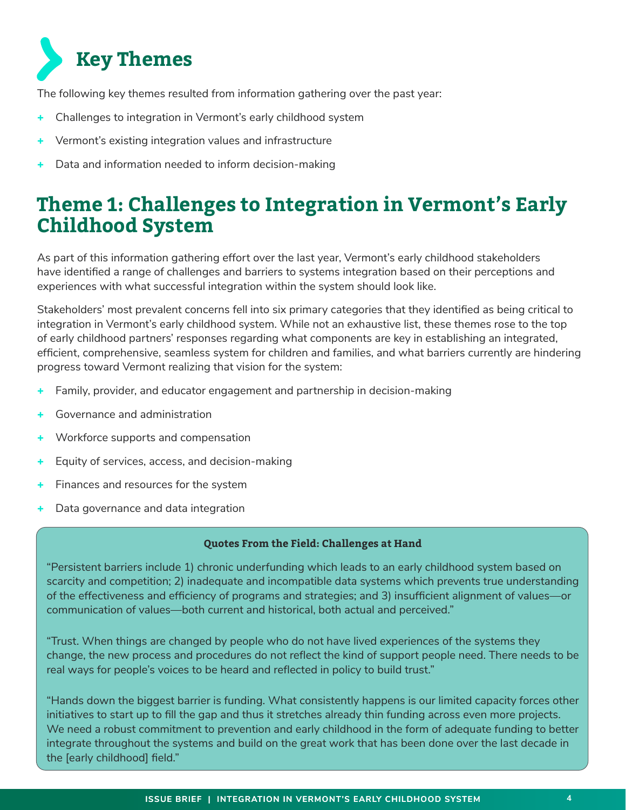

The following key themes resulted from information gathering over the past year:

- Challenges to integration in Vermont's early childhood system
- Vermont's existing integration values and infrastructure
- Data and information needed to inform decision-making

### **Theme 1: Challenges to Integration in Vermont's Early Childhood System**

As part of this information gathering effort over the last year, Vermont's early childhood stakeholders have identified a range of challenges and barriers to systems integration based on their perceptions and experiences with what successful integration within the system should look like.

Stakeholders' most prevalent concerns fell into six primary categories that they identified as being critical to integration in Vermont's early childhood system. While not an exhaustive list, these themes rose to the top of early childhood partners' responses regarding what components are key in establishing an integrated, efficient, comprehensive, seamless system for children and families, and what barriers currently are hindering progress toward Vermont realizing that vision for the system:

- Family, provider, and educator engagement and partnership in decision-making
- Governance and administration
- Workforce supports and compensation
- Equity of services, access, and decision-making
- Finances and resources for the system
- Data governance and data integration

#### **Quotes From the Field: Challenges at Hand**

"Persistent barriers include 1) chronic underfunding which leads to an early childhood system based on scarcity and competition; 2) inadequate and incompatible data systems which prevents true understanding of the effectiveness and efficiency of programs and strategies; and 3) insufficient alignment of values—or communication of values—both current and historical, both actual and perceived."

"Trust. When things are changed by people who do not have lived experiences of the systems they change, the new process and procedures do not reflect the kind of support people need. There needs to be real ways for people's voices to be heard and reflected in policy to build trust."

"Hands down the biggest barrier is funding. What consistently happens is our limited capacity forces other initiatives to start up to fill the gap and thus it stretches already thin funding across even more projects. We need a robust commitment to prevention and early childhood in the form of adequate funding to better integrate throughout the systems and build on the great work that has been done over the last decade in the [early childhood] field."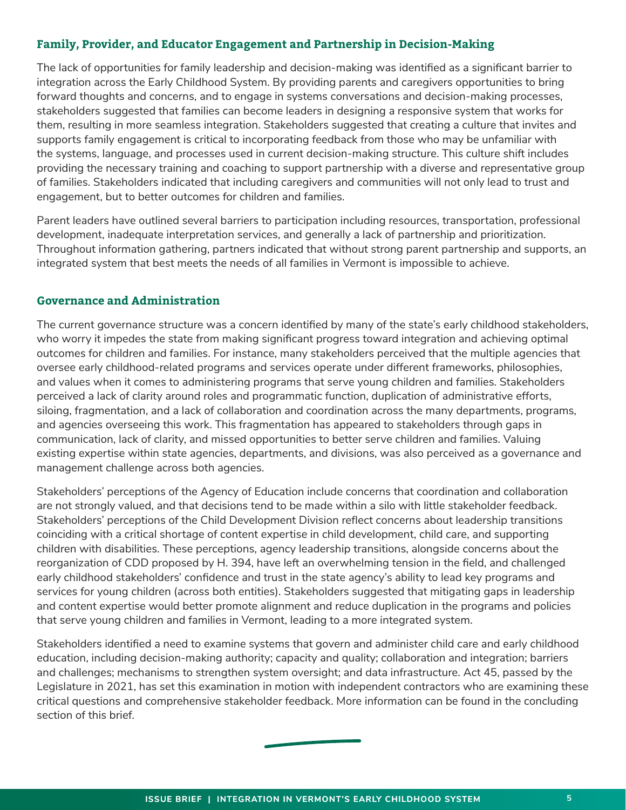#### **Family, Provider, and Educator Engagement and Partnership in Decision-Making**

The lack of opportunities for family leadership and decision-making was identified as a significant barrier to integration across the Early Childhood System. By providing parents and caregivers opportunities to bring forward thoughts and concerns, and to engage in systems conversations and decision-making processes, stakeholders suggested that families can become leaders in designing a responsive system that works for them, resulting in more seamless integration. Stakeholders suggested that creating a culture that invites and supports family engagement is critical to incorporating feedback from those who may be unfamiliar with the systems, language, and processes used in current decision-making structure. This culture shift includes providing the necessary training and coaching to support partnership with a diverse and representative group of families. Stakeholders indicated that including caregivers and communities will not only lead to trust and engagement, but to better outcomes for children and families.

Parent leaders have outlined several barriers to participation including resources, transportation, professional development, inadequate interpretation services, and generally a lack of partnership and prioritization. Throughout information gathering, partners indicated that without strong parent partnership and supports, an integrated system that best meets the needs of all families in Vermont is impossible to achieve.

#### **Governance and Administration**

The current governance structure was a concern identified by many of the state's early childhood stakeholders, who worry it impedes the state from making significant progress toward integration and achieving optimal outcomes for children and families. For instance, many stakeholders perceived that the multiple agencies that oversee early childhood-related programs and services operate under different frameworks, philosophies, and values when it comes to administering programs that serve young children and families. Stakeholders perceived a lack of clarity around roles and programmatic function, duplication of administrative efforts, siloing, fragmentation, and a lack of collaboration and coordination across the many departments, programs, and agencies overseeing this work. This fragmentation has appeared to stakeholders through gaps in communication, lack of clarity, and missed opportunities to better serve children and families. Valuing existing expertise within state agencies, departments, and divisions, was also perceived as a governance and management challenge across both agencies.

Stakeholders' perceptions of the Agency of Education include concerns that coordination and collaboration are not strongly valued, and that decisions tend to be made within a silo with little stakeholder feedback. Stakeholders' perceptions of the Child Development Division reflect concerns about leadership transitions coinciding with a critical shortage of content expertise in child development, child care, and supporting children with disabilities. These perceptions, agency leadership transitions, alongside concerns about the reorganization of CDD proposed by H. 394, have left an overwhelming tension in the field, and challenged early childhood stakeholders' confidence and trust in the state agency's ability to lead key programs and services for young children (across both entities). Stakeholders suggested that mitigating gaps in leadership and content expertise would better promote alignment and reduce duplication in the programs and policies that serve young children and families in Vermont, leading to a more integrated system.

Stakeholders identified a need to examine systems that govern and administer child care and early childhood education, including decision-making authority; capacity and quality; collaboration and integration; barriers and challenges; mechanisms to strengthen system oversight; and data infrastructure. Act 45, passed by the Legislature in 2021, has set this examination in motion with independent contractors who are examining these critical questions and comprehensive stakeholder feedback. More information can be found in the concluding section of this brief.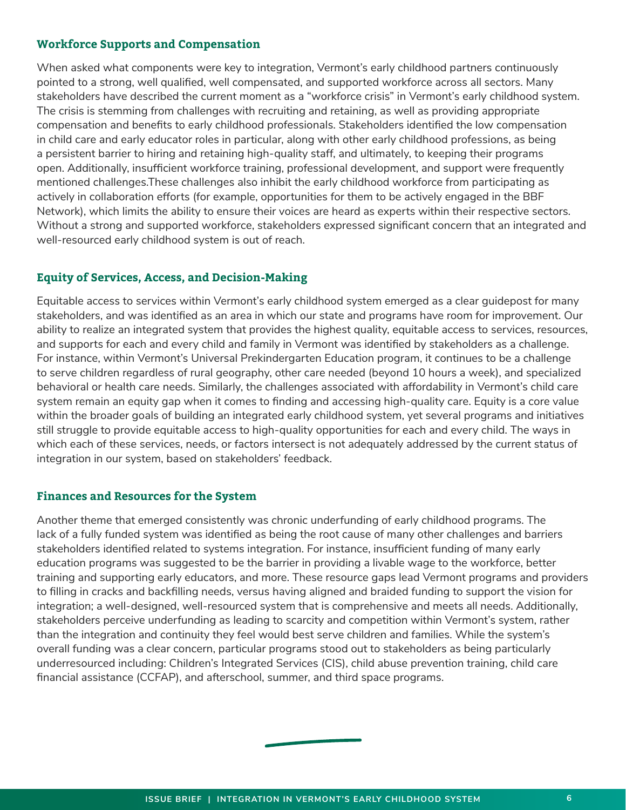#### **Workforce Supports and Compensation**

When asked what components were key to integration, Vermont's early childhood partners continuously pointed to a strong, well qualified, well compensated, and supported workforce across all sectors. Many stakeholders have described the current moment as a "workforce crisis" in Vermont's early childhood system. The crisis is stemming from challenges with recruiting and retaining, as well as providing appropriate compensation and benefits to early childhood professionals. Stakeholders identified the low compensation in child care and early educator roles in particular, along with other early childhood professions, as being a persistent barrier to hiring and retaining high-quality staff, and ultimately, to keeping their programs open. Additionally, insufficient workforce training, professional development, and support were frequently mentioned challenges.These challenges also inhibit the early childhood workforce from participating as actively in collaboration efforts (for example, opportunities for them to be actively engaged in the BBF Network), which limits the ability to ensure their voices are heard as experts within their respective sectors. Without a strong and supported workforce, stakeholders expressed significant concern that an integrated and well-resourced early childhood system is out of reach.

#### **Equity of Services, Access, and Decision-Making**

Equitable access to services within Vermont's early childhood system emerged as a clear guidepost for many stakeholders, and was identified as an area in which our state and programs have room for improvement. Our ability to realize an integrated system that provides the highest quality, equitable access to services, resources, and supports for each and every child and family in Vermont was identified by stakeholders as a challenge. For instance, within Vermont's Universal Prekindergarten Education program, it continues to be a challenge to serve children regardless of rural geography, other care needed (beyond 10 hours a week), and specialized behavioral or health care needs. Similarly, the challenges associated with affordability in Vermont's child care system remain an equity gap when it comes to finding and accessing high-quality care. Equity is a core value within the broader goals of building an integrated early childhood system, yet several programs and initiatives still struggle to provide equitable access to high-quality opportunities for each and every child. The ways in which each of these services, needs, or factors intersect is not adequately addressed by the current status of integration in our system, based on stakeholders' feedback.

#### **Finances and Resources for the System**

Another theme that emerged consistently was chronic underfunding of early childhood programs. The lack of a fully funded system was identified as being the root cause of many other challenges and barriers stakeholders identified related to systems integration. For instance, insufficient funding of many early education programs was suggested to be the barrier in providing a livable wage to the workforce, better training and supporting early educators, and more. These resource gaps lead Vermont programs and providers to filling in cracks and backfilling needs, versus having aligned and braided funding to support the vision for integration; a well-designed, well-resourced system that is comprehensive and meets all needs. Additionally, stakeholders perceive underfunding as leading to scarcity and competition within Vermont's system, rather than the integration and continuity they feel would best serve children and families. While the system's overall funding was a clear concern, particular programs stood out to stakeholders as being particularly underresourced including: Children's Integrated Services (CIS), child abuse prevention training, child care financial assistance (CCFAP), and afterschool, summer, and third space programs.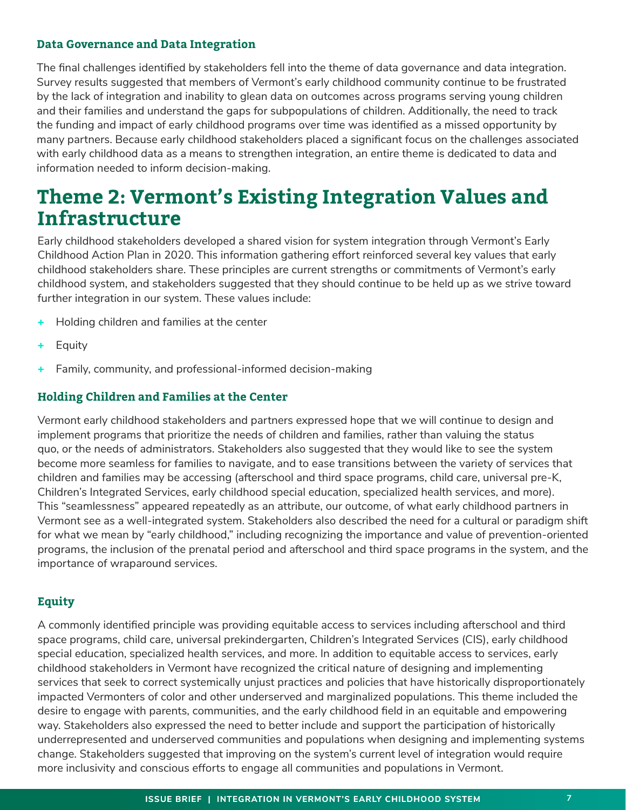#### **Data Governance and Data Integration**

The final challenges identified by stakeholders fell into the theme of data governance and data integration. Survey results suggested that members of Vermont's early childhood community continue to be frustrated by the lack of integration and inability to glean data on outcomes across programs serving young children and their families and understand the gaps for subpopulations of children. Additionally, the need to track the funding and impact of early childhood programs over time was identified as a missed opportunity by many partners. Because early childhood stakeholders placed a significant focus on the challenges associated with early childhood data as a means to strengthen integration, an entire theme is dedicated to data and information needed to inform decision-making.

### **Theme 2: Vermont's Existing Integration Values and Infrastructure**

Early childhood stakeholders developed a shared vision for system integration through Vermont's Early Childhood Action Plan in 2020. This information gathering effort reinforced several key values that early childhood stakeholders share. These principles are current strengths or commitments of Vermont's early childhood system, and stakeholders suggested that they should continue to be held up as we strive toward further integration in our system. These values include:

- + Holding children and families at the center
- **Equity**
- Family, community, and professional-informed decision-making

#### **Holding Children and Families at the Center**

Vermont early childhood stakeholders and partners expressed hope that we will continue to design and implement programs that prioritize the needs of children and families, rather than valuing the status quo, or the needs of administrators. Stakeholders also suggested that they would like to see the system become more seamless for families to navigate, and to ease transitions between the variety of services that children and families may be accessing (afterschool and third space programs, child care, universal pre-K, Children's Integrated Services, early childhood special education, specialized health services, and more). This "seamlessness" appeared repeatedly as an attribute, our outcome, of what early childhood partners in Vermont see as a well-integrated system. Stakeholders also described the need for a cultural or paradigm shift for what we mean by "early childhood," including recognizing the importance and value of prevention-oriented programs, the inclusion of the prenatal period and afterschool and third space programs in the system, and the importance of wraparound services.

#### **Equity**

A commonly identified principle was providing equitable access to services including afterschool and third space programs, child care, universal prekindergarten, Children's Integrated Services (CIS), early childhood special education, specialized health services, and more. In addition to equitable access to services, early childhood stakeholders in Vermont have recognized the critical nature of designing and implementing services that seek to correct systemically unjust practices and policies that have historically disproportionately impacted Vermonters of color and other underserved and marginalized populations. This theme included the desire to engage with parents, communities, and the early childhood field in an equitable and empowering way. Stakeholders also expressed the need to better include and support the participation of historically underrepresented and underserved communities and populations when designing and implementing systems change. Stakeholders suggested that improving on the system's current level of integration would require more inclusivity and conscious efforts to engage all communities and populations in Vermont.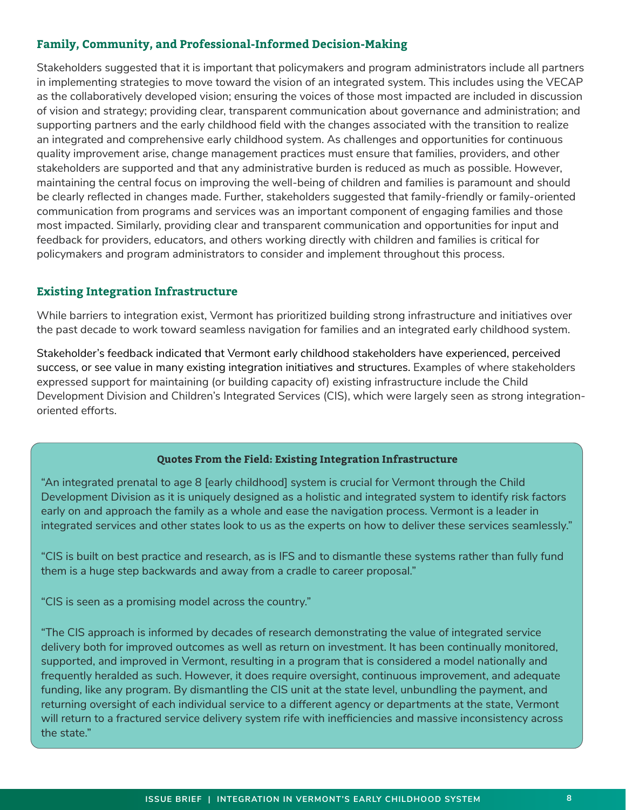#### **Family, Community, and Professional-Informed Decision-Making**

Stakeholders suggested that it is important that policymakers and program administrators include all partners in implementing strategies to move toward the vision of an integrated system. This includes using the VECAP as the collaboratively developed vision; ensuring the voices of those most impacted are included in discussion of vision and strategy; providing clear, transparent communication about governance and administration; and supporting partners and the early childhood field with the changes associated with the transition to realize an integrated and comprehensive early childhood system. As challenges and opportunities for continuous quality improvement arise, change management practices must ensure that families, providers, and other stakeholders are supported and that any administrative burden is reduced as much as possible. However, maintaining the central focus on improving the well-being of children and families is paramount and should be clearly reflected in changes made. Further, stakeholders suggested that family-friendly or family-oriented communication from programs and services was an important component of engaging families and those most impacted. Similarly, providing clear and transparent communication and opportunities for input and feedback for providers, educators, and others working directly with children and families is critical for policymakers and program administrators to consider and implement throughout this process.

#### **Existing Integration Infrastructure**

While barriers to integration exist, Vermont has prioritized building strong infrastructure and initiatives over the past decade to work toward seamless navigation for families and an integrated early childhood system.

Stakeholder's feedback indicated that Vermont early childhood stakeholders have experienced, perceived success, or see value in many existing integration initiatives and structures. Examples of where stakeholders expressed support for maintaining (or building capacity of) existing infrastructure include the Child Development Division and Children's Integrated Services (CIS), which were largely seen as strong integrationoriented efforts.

#### **Quotes From the Field: Existing Integration Infrastructure**

"An integrated prenatal to age 8 [early childhood] system is crucial for Vermont through the Child Development Division as it is uniquely designed as a holistic and integrated system to identify risk factors early on and approach the family as a whole and ease the navigation process. Vermont is a leader in integrated services and other states look to us as the experts on how to deliver these services seamlessly."

"CIS is built on best practice and research, as is IFS and to dismantle these systems rather than fully fund them is a huge step backwards and away from a cradle to career proposal."

"CIS is seen as a promising model across the country."

"The CIS approach is informed by decades of research demonstrating the value of integrated service delivery both for improved outcomes as well as return on investment. It has been continually monitored, supported, and improved in Vermont, resulting in a program that is considered a model nationally and frequently heralded as such. However, it does require oversight, continuous improvement, and adequate funding, like any program. By dismantling the CIS unit at the state level, unbundling the payment, and returning oversight of each individual service to a different agency or departments at the state, Vermont will return to a fractured service delivery system rife with inefficiencies and massive inconsistency across the state."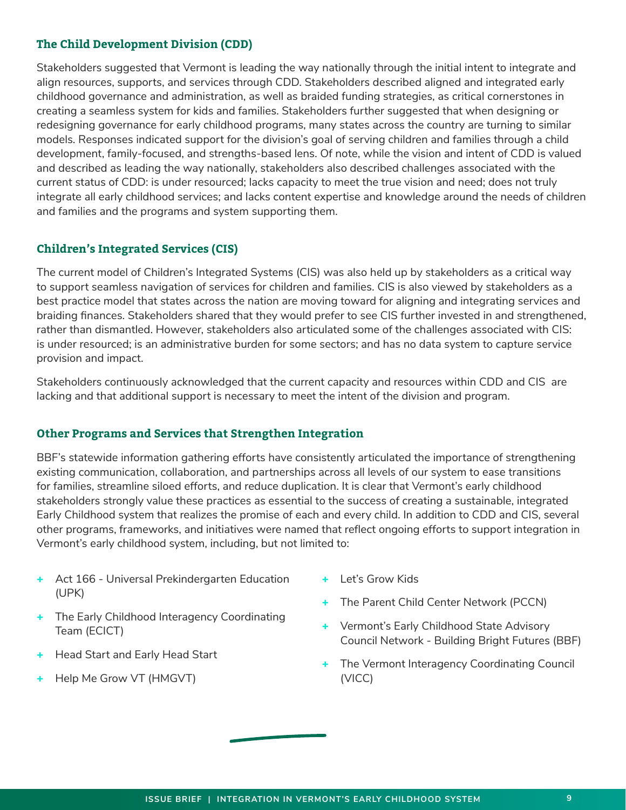#### **The Child Development Division (CDD)**

Stakeholders suggested that Vermont is leading the way nationally through the initial intent to integrate and align resources, supports, and services through CDD. Stakeholders described aligned and integrated early childhood governance and administration, as well as braided funding strategies, as critical cornerstones in creating a seamless system for kids and families. Stakeholders further suggested that when designing or redesigning governance for early childhood programs, many states across the country are turning to similar models. Responses indicated support for the division's goal of serving children and families through a child development, family-focused, and strengths-based lens. Of note, while the vision and intent of CDD is valued and described as leading the way nationally, stakeholders also described challenges associated with the current status of CDD: is under resourced; lacks capacity to meet the true vision and need; does not truly integrate all early childhood services; and lacks content expertise and knowledge around the needs of children and families and the programs and system supporting them.

#### **Children's Integrated Services (CIS)**

The current model of Children's Integrated Systems (CIS) was also held up by stakeholders as a critical way to support seamless navigation of services for children and families. CIS is also viewed by stakeholders as a best practice model that states across the nation are moving toward for aligning and integrating services and braiding finances. Stakeholders shared that they would prefer to see CIS further invested in and strengthened, rather than dismantled. However, stakeholders also articulated some of the challenges associated with CIS: is under resourced; is an administrative burden for some sectors; and has no data system to capture service provision and impact.

Stakeholders continuously acknowledged that the current capacity and resources within CDD and CIS are lacking and that additional support is necessary to meet the intent of the division and program.

#### **Other Programs and Services that Strengthen Integration**

BBF's statewide information gathering efforts have consistently articulated the importance of strengthening existing communication, collaboration, and partnerships across all levels of our system to ease transitions for families, streamline siloed efforts, and reduce duplication. It is clear that Vermont's early childhood stakeholders strongly value these practices as essential to the success of creating a sustainable, integrated Early Childhood system that realizes the promise of each and every child. In addition to CDD and CIS, several other programs, frameworks, and initiatives were named that reflect ongoing efforts to support integration in Vermont's early childhood system, including, but not limited to:

- + Act 166 Universal Prekindergarten Education (UPK)
- + The Early Childhood Interagency Coordinating Team (ECICT)
- **Head Start and Early Head Start**
- + Help Me Grow VT (HMGVT)
- + Let's Grow Kids
- + The Parent Child Center Network (PCCN)
- + Vermont's Early Childhood State Advisory Council Network - Building Bright Futures (BBF)
- + The Vermont Interagency Coordinating Council (VICC)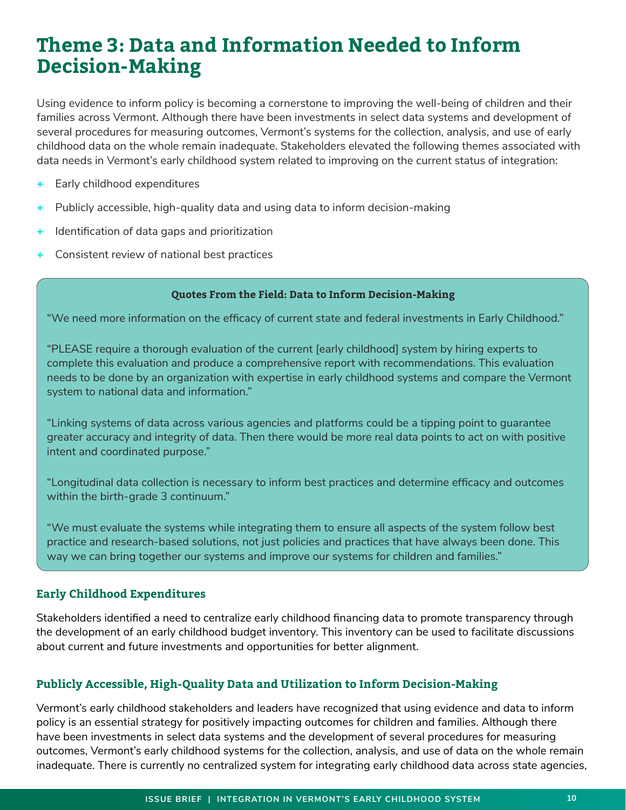### **Theme 3: Data and Information Needed to Inform Decision-Making**

Using evidence to inform policy is becoming a cornerstone to improving the well-being of children and their families across Vermont. Although there have been investments in select data systems and development of several procedures for measuring outcomes, Vermont's systems for the collection, analysis, and use of early childhood data on the whole remain inadequate. Stakeholders elevated the following themes associated with data needs in Vermont's early childhood system related to improving on the current status of integration:

- + Early childhood expenditures
- Publicly accessible, high-quality data and using data to inform decision-making
- Identification of data gaps and prioritization
- + Consistent review of national best practices

#### **Quotes From the Field: Data to Inform Decision-Making**

"We need more information on the efficacy of current state and federal investments in Early Childhood."

"PLEASE require a thorough evaluation of the current [early childhood] system by hiring experts to complete this evaluation and produce a comprehensive report with recommendations. This evaluation needs to be done by an organization with expertise in early childhood systems and compare the Vermont system to national data and information."

"Linking systems of data across various agencies and platforms could be a tipping point to guarantee greater accuracy and integrity of data. Then there would be more real data points to act on with positive intent and coordinated purpose."

"Longitudinal data collection is necessary to inform best practices and determine efficacy and outcomes within the birth-grade 3 continuum."

"We must evaluate the systems while integrating them to ensure all aspects of the system follow best practice and research-based solutions, not just policies and practices that have always been done. This way we can bring together our systems and improve our systems for children and families."

#### **Early Childhood Expenditures**

Stakeholders identified a need to centralize early childhood financing data to promote transparency through the development of an early childhood budget inventory. This inventory can be used to facilitate discussions about current and future investments and opportunities for better alignment.

#### **Publicly Accessible, High-Quality Data and Utilization to Inform Decision-Making**

Vermont's early childhood stakeholders and leaders have recognized that using evidence and data to inform policy is an essential strategy for positively impacting outcomes for children and families. Although there have been investments in select data systems and the development of several procedures for measuring outcomes, Vermont's early childhood systems for the collection, analysis, and use of data on the whole remain inadequate. There is currently no centralized system for integrating early childhood data across state agencies,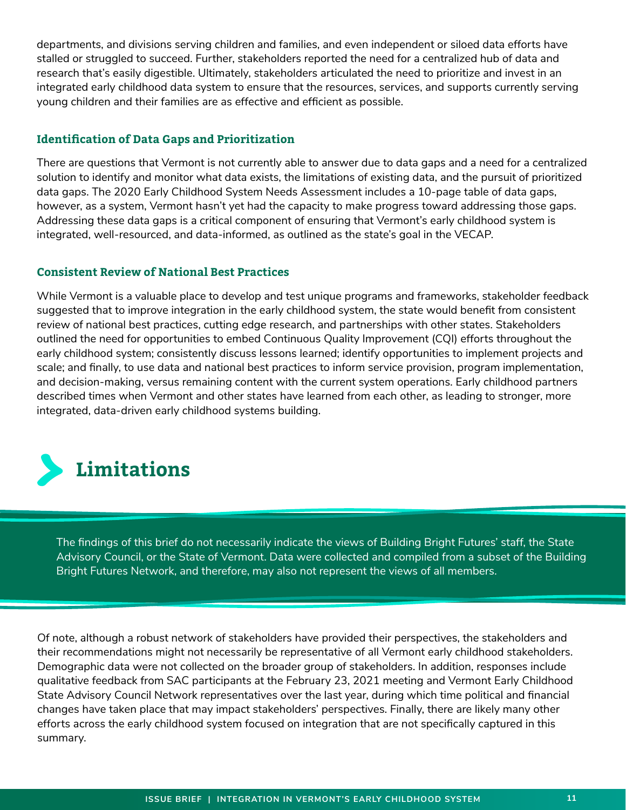departments, and divisions serving children and families, and even independent or siloed data efforts have stalled or struggled to succeed. Further, stakeholders reported the need for a centralized hub of data and research that's easily digestible. Ultimately, stakeholders articulated the need to prioritize and invest in an integrated early childhood data system to ensure that the resources, services, and supports currently serving young children and their families are as effective and efficient as possible.

#### **Identification of Data Gaps and Prioritization**

There are questions that Vermont is not currently able to answer due to data gaps and a need for a centralized solution to identify and monitor what data exists, the limitations of existing data, and the pursuit of prioritized data gaps. The 2020 Early Childhood System Needs Assessment includes a 10-page table of data gaps, however, as a system, Vermont hasn't yet had the capacity to make progress toward addressing those gaps. Addressing these data gaps is a critical component of ensuring that Vermont's early childhood system is integrated, well-resourced, and data-informed, as outlined as the state's goal in the VECAP.

#### **Consistent Review of National Best Practices**

While Vermont is a valuable place to develop and test unique programs and frameworks, stakeholder feedback suggested that to improve integration in the early childhood system, the state would benefit from consistent review of national best practices, cutting edge research, and partnerships with other states. Stakeholders outlined the need for opportunities to embed Continuous Quality Improvement (CQI) efforts throughout the early childhood system; consistently discuss lessons learned; identify opportunities to implement projects and scale; and finally, to use data and national best practices to inform service provision, program implementation, and decision-making, versus remaining content with the current system operations. Early childhood partners described times when Vermont and other states have learned from each other, as leading to stronger, more integrated, data-driven early childhood systems building.



The findings of this brief do not necessarily indicate the views of Building Bright Futures' staff, the State Advisory Council, or the State of Vermont. Data were collected and compiled from a subset of the Building Bright Futures Network, and therefore, may also not represent the views of all members.

Of note, although a robust network of stakeholders have provided their perspectives, the stakeholders and their recommendations might not necessarily be representative of all Vermont early childhood stakeholders. Demographic data were not collected on the broader group of stakeholders. In addition, responses include qualitative feedback from SAC participants at the February 23, 2021 meeting and Vermont Early Childhood State Advisory Council Network representatives over the last year, during which time political and financial changes have taken place that may impact stakeholders' perspectives. Finally, there are likely many other efforts across the early childhood system focused on integration that are not specifically captured in this summary.